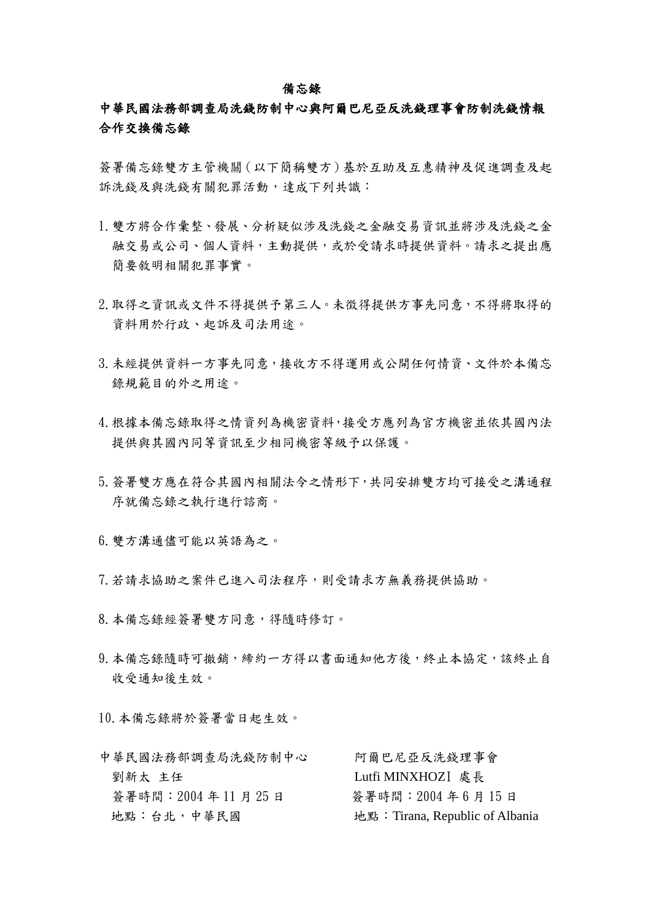#### 備忘錄

### 中華民國法務部調查局洗錢防制中心與阿爾巴尼亞反洗錢理事會防制洗錢情報 合作交換備忘錄

簽署備忘錄雙方主管機關(以下簡稱雙方)基於互助及互惠精神及促進調查及起 訴洗錢及與洗錢有關犯罪活動,達成下列共識:

- 1.雙方將合作彙整、發展、分析疑似涉及洗錢之金融交易資訊並將涉及洗錢之金 融交易或公司、個人資料,主動提供,或於受請求時提供資料。請求之提出應 簡要敘明相關犯罪事實。
- 2.取得之資訊或文件不得提供予第三人。未徵得提供方事先同意,不得將取得的 資料用於行政、起訴及司法用途。
- 3.未經提供資料一方事先同意,接收方不得運用或公開任何情資、文件於本備忘 錄規範目的外之用途。
- 4.根據本備忘錄取得之情資列為機密資料,接受方應列為官方機密並依其國內法 提供與其國內同等資訊至少相同機密等級予以保護。
- 5.簽署雙方應在符合其國內相關法令之情形下,共同安排雙方均可接受之溝通程 序就備忘錄之執行進行諮商。
- 6.雙方溝通儘可能以英語為之。
- 7.若請求協助之案件已進入司法程序,則受請求方無義務提供協助。
- 8.本備忘錄經簽署雙方同意,得隨時修訂。
- 9.本備忘錄隨時可撤銷,締約一方得以書面通知他方後,終止本協定,該終止自 收受通知後生效。

10.本備忘錄將於簽署當日起生效。

| 中華民國法務部調查局洗錢防制中心  | 阿爾巴尼亞反洗錢理事會                     |
|-------------------|---------------------------------|
| 劉新太 主任            | Lutfi MINXHOZI 處長               |
| 簽署時間: 2004年11月25日 | 簽署時間: 2004年6月15日                |
| 地點:台北,中華民國        | 地點: Tirana, Republic of Albania |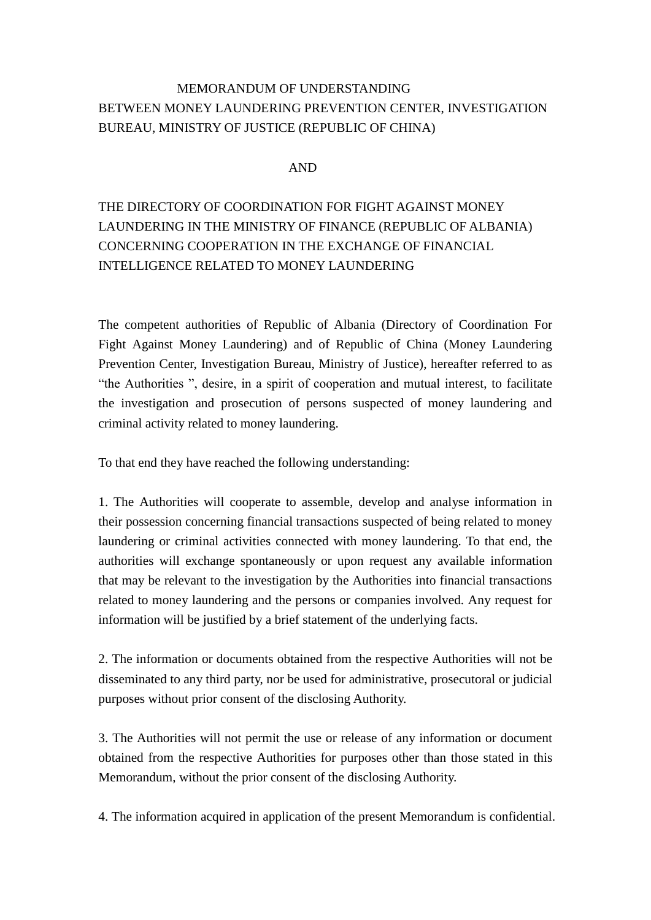## MEMORANDUM OF UNDERSTANDING BETWEEN MONEY LAUNDERING PREVENTION CENTER, INVESTIGATION BUREAU, MINISTRY OF JUSTICE (REPUBLIC OF CHINA)

#### AND

# THE DIRECTORY OF COORDINATION FOR FIGHT AGAINST MONEY LAUNDERING IN THE MINISTRY OF FINANCE (REPUBLIC OF ALBANIA) CONCERNING COOPERATION IN THE EXCHANGE OF FINANCIAL INTELLIGENCE RELATED TO MONEY LAUNDERING

The competent authorities of Republic of Albania (Directory of Coordination For Fight Against Money Laundering) and of Republic of China (Money Laundering Prevention Center, Investigation Bureau, Ministry of Justice), hereafter referred to as "the Authorities ", desire, in a spirit of cooperation and mutual interest, to facilitate the investigation and prosecution of persons suspected of money laundering and criminal activity related to money laundering.

To that end they have reached the following understanding:

1. The Authorities will cooperate to assemble, develop and analyse information in their possession concerning financial transactions suspected of being related to money laundering or criminal activities connected with money laundering. To that end, the authorities will exchange spontaneously or upon request any available information that may be relevant to the investigation by the Authorities into financial transactions related to money laundering and the persons or companies involved. Any request for information will be justified by a brief statement of the underlying facts.

2. The information or documents obtained from the respective Authorities will not be disseminated to any third party, nor be used for administrative, prosecutoral or judicial purposes without prior consent of the disclosing Authority.

3. The Authorities will not permit the use or release of any information or document obtained from the respective Authorities for purposes other than those stated in this Memorandum, without the prior consent of the disclosing Authority.

4. The information acquired in application of the present Memorandum is confidential.